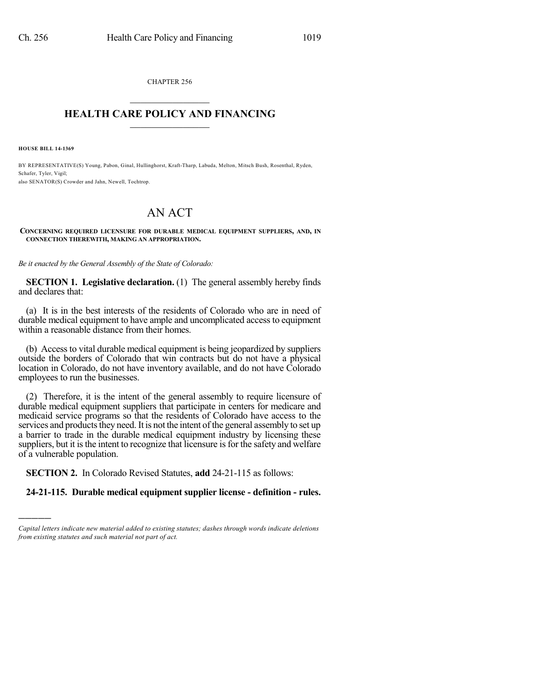CHAPTER 256  $\mathcal{L}_\text{max}$  . The set of the set of the set of the set of the set of the set of the set of the set of the set of the set of the set of the set of the set of the set of the set of the set of the set of the set of the set

## **HEALTH CARE POLICY AND FINANCING**  $\_$   $\_$   $\_$   $\_$   $\_$   $\_$   $\_$   $\_$

**HOUSE BILL 14-1369**

)))))

BY REPRESENTATIVE(S) Young, Pabon, Ginal, Hullinghorst, Kraft-Tharp, Labuda, Melton, Mitsch Bush, Rosenthal, Ryden, Schafer, Tyler, Vigil; also SENATOR(S) Crowder and Jahn, Newell, Tochtrop.

## AN ACT

**CONCERNING REQUIRED LICENSURE FOR DURABLE MEDICAL EQUIPMENT SUPPLIERS, AND, IN CONNECTION THEREWITH, MAKING AN APPROPRIATION.**

*Be it enacted by the General Assembly of the State of Colorado:*

**SECTION 1. Legislative declaration.** (1) The general assembly hereby finds and declares that:

(a) It is in the best interests of the residents of Colorado who are in need of durable medical equipment to have ample and uncomplicated access to equipment within a reasonable distance from their homes.

(b) Access to vital durable medical equipment is being jeopardized by suppliers outside the borders of Colorado that win contracts but do not have a physical location in Colorado, do not have inventory available, and do not have Colorado employees to run the businesses.

(2) Therefore, it is the intent of the general assembly to require licensure of durable medical equipment suppliers that participate in centers for medicare and medicaid service programs so that the residents of Colorado have access to the services and products they need. It is not the intent of the general assembly to set up a barrier to trade in the durable medical equipment industry by licensing these suppliers, but it is the intent to recognize that licensure is for the safety and welfare of a vulnerable population.

**SECTION 2.** In Colorado Revised Statutes, **add** 24-21-115 as follows:

## **24-21-115. Durable medical equipment supplier license - definition - rules.**

*Capital letters indicate new material added to existing statutes; dashes through words indicate deletions from existing statutes and such material not part of act.*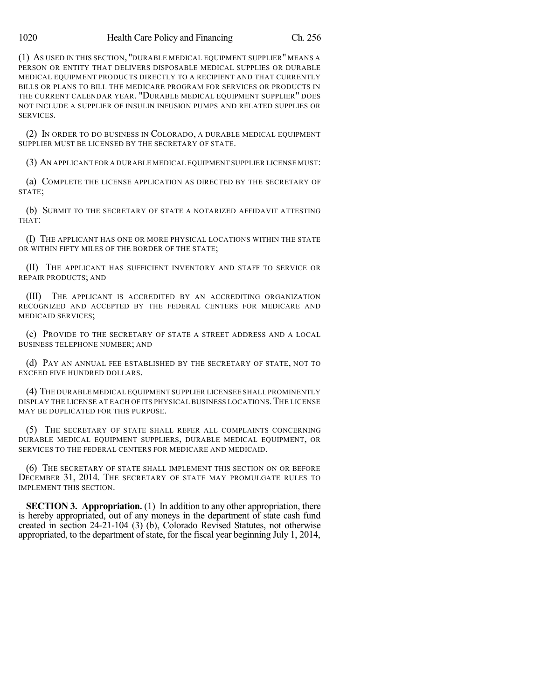(1) AS USED IN THIS SECTION, "DURABLE MEDICAL EQUIPMENT SUPPLIER" MEANS A PERSON OR ENTITY THAT DELIVERS DISPOSABLE MEDICAL SUPPLIES OR DURABLE MEDICAL EQUIPMENT PRODUCTS DIRECTLY TO A RECIPIENT AND THAT CURRENTLY BILLS OR PLANS TO BILL THE MEDICARE PROGRAM FOR SERVICES OR PRODUCTS IN THE CURRENT CALENDAR YEAR. "DURABLE MEDICAL EQUIPMENT SUPPLIER" DOES NOT INCLUDE A SUPPLIER OF INSULIN INFUSION PUMPS AND RELATED SUPPLIES OR SERVICES.

(2) IN ORDER TO DO BUSINESS IN COLORADO, A DURABLE MEDICAL EQUIPMENT SUPPLIER MUST BE LICENSED BY THE SECRETARY OF STATE.

(3) AN APPLICANT FOR A DURABLE MEDICAL EQUIPMENT SUPPLIER LICENSE MUST:

(a) COMPLETE THE LICENSE APPLICATION AS DIRECTED BY THE SECRETARY OF STATE;

(b) SUBMIT TO THE SECRETARY OF STATE A NOTARIZED AFFIDAVIT ATTESTING THAT:

(I) THE APPLICANT HAS ONE OR MORE PHYSICAL LOCATIONS WITHIN THE STATE OR WITHIN FIFTY MILES OF THE BORDER OF THE STATE;

(II) THE APPLICANT HAS SUFFICIENT INVENTORY AND STAFF TO SERVICE OR REPAIR PRODUCTS; AND

(III) THE APPLICANT IS ACCREDITED BY AN ACCREDITING ORGANIZATION RECOGNIZED AND ACCEPTED BY THE FEDERAL CENTERS FOR MEDICARE AND MEDICAID SERVICES;

(c) PROVIDE TO THE SECRETARY OF STATE A STREET ADDRESS AND A LOCAL BUSINESS TELEPHONE NUMBER; AND

(d) PAY AN ANNUAL FEE ESTABLISHED BY THE SECRETARY OF STATE, NOT TO EXCEED FIVE HUNDRED DOLLARS.

(4) THE DURABLE MEDICAL EQUIPMENT SUPPLIER LICENSEE SHALL PROMINENTLY DISPLAY THE LICENSE AT EACH OF ITS PHYSICAL BUSINESS LOCATIONS.THE LICENSE MAY BE DUPLICATED FOR THIS PURPOSE.

(5) THE SECRETARY OF STATE SHALL REFER ALL COMPLAINTS CONCERNING DURABLE MEDICAL EQUIPMENT SUPPLIERS, DURABLE MEDICAL EQUIPMENT, OR SERVICES TO THE FEDERAL CENTERS FOR MEDICARE AND MEDICAID.

(6) THE SECRETARY OF STATE SHALL IMPLEMENT THIS SECTION ON OR BEFORE DECEMBER 31, 2014. THE SECRETARY OF STATE MAY PROMULGATE RULES TO IMPLEMENT THIS SECTION.

**SECTION 3. Appropriation.** (1) In addition to any other appropriation, there is hereby appropriated, out of any moneys in the department of state cash fund created in section 24-21-104 (3) (b), Colorado Revised Statutes, not otherwise appropriated, to the department of state, for the fiscal year beginning July 1, 2014,